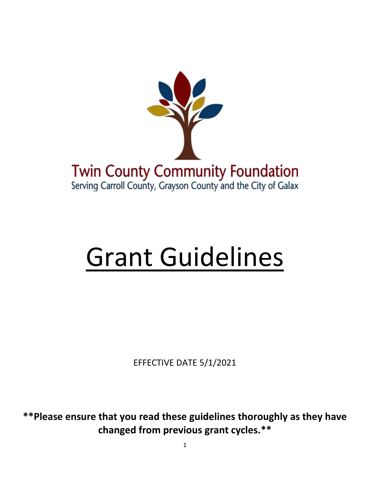

# Grant Guidelines

EFFECTIVE DATE 5/1/2021

**\*\*Please ensure that you read these guidelines thoroughly as they have changed from previous grant cycles.\*\***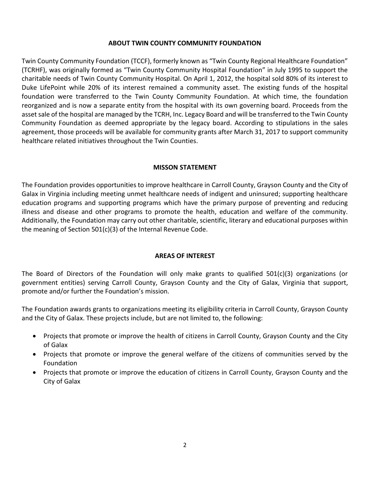#### **ABOUT TWIN COUNTY COMMUNITY FOUNDATION**

Twin County Community Foundation (TCCF), formerly known as "Twin County Regional Healthcare Foundation" (TCRHF), was originally formed as "Twin County Community Hospital Foundation" in July 1995 to support the charitable needs of Twin County Community Hospital. On April 1, 2012, the hospital sold 80% of its interest to Duke LifePoint while 20% of its interest remained a community asset. The existing funds of the hospital foundation were transferred to the Twin County Community Foundation. At which time, the foundation reorganized and is now a separate entity from the hospital with its own governing board. Proceeds from the asset sale of the hospital are managed by the TCRH, Inc. Legacy Board and will be transferred to the Twin County Community Foundation as deemed appropriate by the legacy board. According to stipulations in the sales agreement, those proceeds will be available for community grants after March 31, 2017 to support community healthcare related initiatives throughout the Twin Counties.

#### **MISSON STATEMENT**

The Foundation provides opportunities to improve healthcare in Carroll County, Grayson County and the City of Galax in Virginia including meeting unmet healthcare needs of indigent and uninsured; supporting healthcare education programs and supporting programs which have the primary purpose of preventing and reducing illness and disease and other programs to promote the health, education and welfare of the community. Additionally, the Foundation may carry out other charitable, scientific, literary and educational purposes within the meaning of Section 501(c)(3) of the Internal Revenue Code.

#### **AREAS OF INTEREST**

The Board of Directors of the Foundation will only make grants to qualified 501(c)(3) organizations (or government entities) serving Carroll County, Grayson County and the City of Galax, Virginia that support, promote and/or further the Foundation's mission.

The Foundation awards grants to organizations meeting its eligibility criteria in Carroll County, Grayson County and the City of Galax. These projects include, but are not limited to, the following:

- Projects that promote or improve the health of citizens in Carroll County, Grayson County and the City of Galax
- Projects that promote or improve the general welfare of the citizens of communities served by the Foundation
- Projects that promote or improve the education of citizens in Carroll County, Grayson County and the City of Galax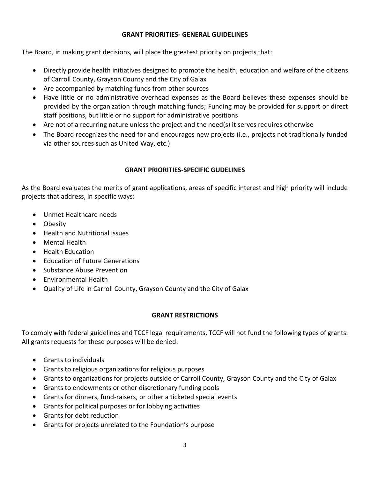#### **GRANT PRIORITIES- GENERAL GUIDELINES**

The Board, in making grant decisions, will place the greatest priority on projects that:

- Directly provide health initiatives designed to promote the health, education and welfare of the citizens of Carroll County, Grayson County and the City of Galax
- Are accompanied by matching funds from other sources
- Have little or no administrative overhead expenses as the Board believes these expenses should be provided by the organization through matching funds; Funding may be provided for support or direct staff positions, but little or no support for administrative positions
- Are not of a recurring nature unless the project and the need(s) it serves requires otherwise
- The Board recognizes the need for and encourages new projects (i.e., projects not traditionally funded via other sources such as United Way, etc.)

#### **GRANT PRIORITIES-SPECIFIC GUDELINES**

As the Board evaluates the merits of grant applications, areas of specific interest and high priority will include projects that address, in specific ways:

- Unmet Healthcare needs
- Obesity
- Health and Nutritional Issues
- Mental Health
- Health Education
- **•** Education of Future Generations
- Substance Abuse Prevention
- Environmental Health
- Quality of Life in Carroll County, Grayson County and the City of Galax

#### **GRANT RESTRICTIONS**

To comply with federal guidelines and TCCF legal requirements, TCCF will not fund the following types of grants. All grants requests for these purposes will be denied:

- Grants to individuals
- Grants to religious organizations for religious purposes
- Grants to organizations for projects outside of Carroll County, Grayson County and the City of Galax
- Grants to endowments or other discretionary funding pools
- Grants for dinners, fund-raisers, or other a ticketed special events
- Grants for political purposes or for lobbying activities
- Grants for debt reduction
- Grants for projects unrelated to the Foundation's purpose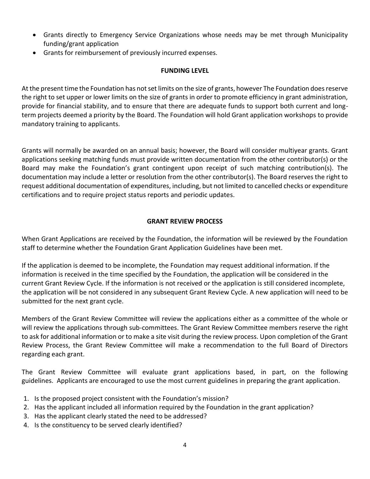- Grants directly to Emergency Service Organizations whose needs may be met through Municipality funding/grant application
- Grants for reimbursement of previously incurred expenses.

#### **FUNDING LEVEL**

At the present time the Foundation has not set limits on the size of grants, however The Foundation does reserve the right to set upper or lower limits on the size of grants in order to promote efficiency in grant administration, provide for financial stability, and to ensure that there are adequate funds to support both current and longterm projects deemed a priority by the Board. The Foundation will hold Grant application workshops to provide mandatory training to applicants.

Grants will normally be awarded on an annual basis; however, the Board will consider multiyear grants. Grant applications seeking matching funds must provide written documentation from the other contributor(s) or the Board may make the Foundation's grant contingent upon receipt of such matching contribution(s). The documentation may include a letter or resolution from the other contributor(s). The Board reserves the right to request additional documentation of expenditures, including, but not limited to cancelled checks or expenditure certifications and to require project status reports and periodic updates.

#### **GRANT REVIEW PROCESS**

When Grant Applications are received by the Foundation, the information will be reviewed by the Foundation staff to determine whether the Foundation Grant Application Guidelines have been met.

If the application is deemed to be incomplete, the Foundation may request additional information. If the information is received in the time specified by the Foundation, the application will be considered in the current Grant Review Cycle. If the information is not received or the application is still considered incomplete, the application will be not considered in any subsequent Grant Review Cycle. A new application will need to be submitted for the next grant cycle.

Members of the Grant Review Committee will review the applications either as a committee of the whole or will review the applications through sub-committees. The Grant Review Committee members reserve the right to ask for additional information or to make a site visit during the review process. Upon completion of the Grant Review Process, the Grant Review Committee will make a recommendation to the full Board of Directors regarding each grant.

The Grant Review Committee will evaluate grant applications based, in part, on the following guidelines. Applicants are encouraged to use the most current guidelines in preparing the grant application.

- 1. Is the proposed project consistent with the Foundation's mission?
- 2. Has the applicant included all information required by the Foundation in the grant application?
- 3. Has the applicant clearly stated the need to be addressed?
- 4. Is the constituency to be served clearly identified?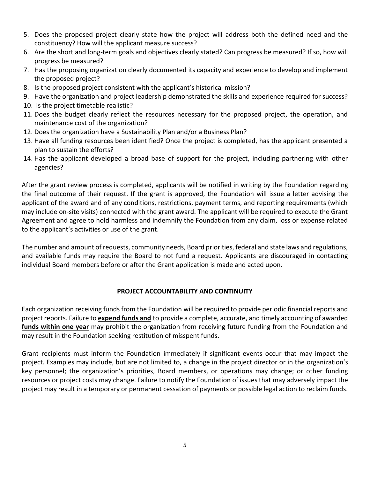- 5. Does the proposed project clearly state how the project will address both the defined need and the constituency? How will the applicant measure success?
- 6. Are the short and long-term goals and objectives clearly stated? Can progress be measured? If so, how will progress be measured?
- 7. Has the proposing organization clearly documented its capacity and experience to develop and implement the proposed project?
- 8. Is the proposed project consistent with the applicant's historical mission?
- 9. Have the organization and project leadership demonstrated the skills and experience required for success?
- 10. Is the project timetable realistic?
- 11. Does the budget clearly reflect the resources necessary for the proposed project, the operation, and maintenance cost of the organization?
- 12. Does the organization have a Sustainability Plan and/or a Business Plan?
- 13. Have all funding resources been identified? Once the project is completed, has the applicant presented a plan to sustain the efforts?
- 14. Has the applicant developed a broad base of support for the project, including partnering with other agencies?

After the grant review process is completed, applicants will be notified in writing by the Foundation regarding the final outcome of their request. If the grant is approved, the Foundation will issue a letter advising the applicant of the award and of any conditions, restrictions, payment terms, and reporting requirements (which may include on-site visits) connected with the grant award. The applicant will be required to execute the Grant Agreement and agree to hold harmless and indemnify the Foundation from any claim, loss or expense related to the applicant's activities or use of the grant.

The number and amount of requests, community needs, Board priorities, federal and state laws and regulations, and available funds may require the Board to not fund a request. Applicants are discouraged in contacting individual Board members before or after the Grant application is made and acted upon.

#### **PROJECT ACCOUNTABILITY AND CONTINUITY**

Each organization receiving funds from the Foundation will be required to provide periodic financial reports and project reports. Failure to **expend funds and** to provide a complete, accurate, and timely accounting of awarded **funds within one year** may prohibit the organization from receiving future funding from the Foundation and may result in the Foundation seeking restitution of misspent funds.

Grant recipients must inform the Foundation immediately if significant events occur that may impact the project. Examples may include, but are not limited to, a change in the project director or in the organization's key personnel; the organization's priorities, Board members, or operations may change; or other funding resources or project costs may change. Failure to notify the Foundation of issues that may adversely impact the project may result in a temporary or permanent cessation of payments or possible legal action to reclaim funds.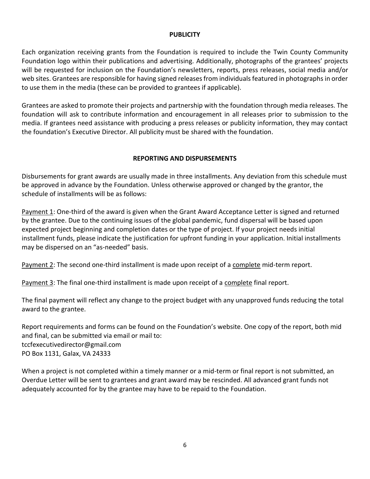#### **PUBLICITY**

Each organization receiving grants from the Foundation is required to include the Twin County Community Foundation logo within their publications and advertising. Additionally, photographs of the grantees' projects will be requested for inclusion on the Foundation's newsletters, reports, press releases, social media and/or web sites. Grantees are responsible for having signed releases from individuals featured in photographs in order to use them in the media (these can be provided to grantees if applicable).

Grantees are asked to promote their projects and partnership with the foundation through media releases. The foundation will ask to contribute information and encouragement in all releases prior to submission to the media. If grantees need assistance with producing a press releases or publicity information, they may contact the foundation's Executive Director. All publicity must be shared with the foundation.

#### **REPORTING AND DISPURSEMENTS**

Disbursements for grant awards are usually made in three installments. Any deviation from this schedule must be approved in advance by the Foundation. Unless otherwise approved or changed by the grantor, the schedule of installments will be as follows:

Payment 1: One-third of the award is given when the Grant Award Acceptance Letter is signed and returned by the grantee. Due to the continuing issues of the global pandemic, fund dispersal will be based upon expected project beginning and completion dates or the type of project. If your project needs initial installment funds, please indicate the justification for upfront funding in your application. Initial installments may be dispersed on an "as-needed" basis.

Payment 2: The second one-third installment is made upon receipt of a complete mid-term report.

Payment 3: The final one-third installment is made upon receipt of a complete final report.

The final payment will reflect any change to the project budget with any unapproved funds reducing the total award to the grantee.

Report requirements and forms can be found on the Foundation's website. One copy of the report, both mid and final, can be submitted via email or mail to: [tccfexecutivedirector@gmail.com](mailto:tccfexecutivedirector@gmail.com) PO Box 1131, Galax, VA 24333

When a project is not completed within a timely manner or a mid-term or final report is not submitted, an Overdue Letter will be sent to grantees and grant award may be rescinded. All advanced grant funds not adequately accounted for by the grantee may have to be repaid to the Foundation.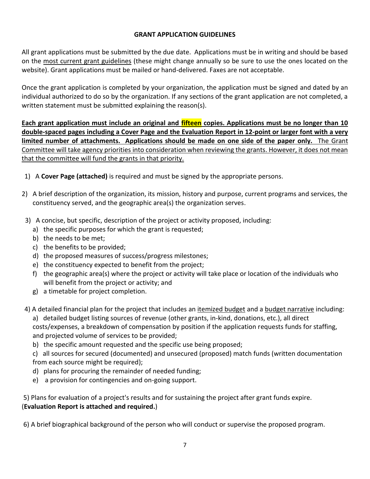#### **GRANT APPLICATION GUIDELINES**

All grant applications must be submitted by the due date. Applications must be in writing and should be based on the most current grant guidelines (these might change annually so be sure to use the ones located on the website). Grant applications must be mailed or hand-delivered. Faxes are not acceptable.

Once the grant application is completed by your organization, the application must be signed and dated by an individual authorized to do so by the organization. If any sections of the grant application are not completed, a written statement must be submitted explaining the reason(s).

**Each grant application must include an original and fifteen copies. Applications must be no longer than 10 double-spaced pages including a Cover Page and the Evaluation Report in 12-point or larger font with a very limited number of attachments. Applications should be made on one side of the paper only.** The Grant Committee will take agency priorities into consideration when reviewing the grants. However, it does not mean that the committee will fund the grants in that priority.

- 1) A **Cover Page (attached)** is required and must be signed by the appropriate persons.
- 2) A brief description of the organization, its mission, history and purpose, current programs and services, the constituency served, and the geographic area(s) the organization serves.
- 3) A concise, but specific, description of the project or activity proposed, including:
	- a) the specific purposes for which the grant is requested;
	- b) the needs to be met;
	- c) the benefits to be provided;
	- d) the proposed measures of success/progress milestones;
	- e) the constituency expected to benefit from the project;
	- f) the geographic area(s) where the project or activity will take place or location of the individuals who will benefit from the project or activity; and
	- g) a timetable for project completion.
- 4) A detailed financial plan for the project that includes an *itemized budget* and a budget narrative including: a) detailed budget listing sources of revenue (other grants, in-kind, donations, etc.), all direct costs/expenses, a breakdown of compensation by position if the application requests funds for staffing, and projected volume of services to be provided;
	- b) the specific amount requested and the specific use being proposed;

c) all sources for secured (documented) and unsecured (proposed) match funds (written documentation from each source might be required);

- d) plans for procuring the remainder of needed funding;
- e) a provision for contingencies and on-going support.

5) Plans for evaluation of a project's results and for sustaining the project after grant funds expire. (**Evaluation Report is attached and required.**)

6) A brief biographical background of the person who will conduct or supervise the proposed program.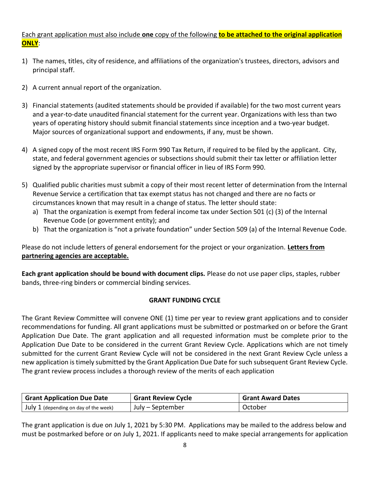### Each grant application must also include **one** copy of the following **to be attached to the original application ONLY**:

- 1) The names, titles, city of residence, and affiliations of the organization's trustees, directors, advisors and principal staff.
- 2) A current annual report of the organization.
- 3) Financial statements (audited statements should be provided if available) for the two most current years and a year-to-date unaudited financial statement for the current year. Organizations with less than two years of operating history should submit financial statements since inception and a two-year budget. Major sources of organizational support and endowments, if any, must be shown.
- 4) A signed copy of the most recent IRS Form 990 Tax Return, if required to be filed by the applicant. City, state, and federal government agencies or subsections should submit their tax letter or affiliation letter signed by the appropriate supervisor or financial officer in lieu of IRS Form 990.
- 5) Qualified public charities must submit a copy of their most recent letter of determination from the Internal Revenue Service a certification that tax exempt status has not changed and there are no facts or circumstances known that may result in a change of status. The letter should state:
	- a) That the organization is exempt from federal income tax under Section 501 (c) (3) of the Internal Revenue Code (or government entity); and
	- b) That the organization is "not a private foundation" under Section 509 (a) of the Internal Revenue Code.

Please do not include letters of general endorsement for the project or your organization. **Letters from partnering agencies are acceptable.**

**Each grant application should be bound with document clips.** Please do not use paper clips, staples, rubber bands, three-ring binders or commercial binding services.

#### **GRANT FUNDING CYCLE**

The Grant Review Committee will convene ONE (1) time per year to review grant applications and to consider recommendations for funding. All grant applications must be submitted or postmarked on or before the Grant Application Due Date. The grant application and all requested information must be complete prior to the Application Due Date to be considered in the current Grant Review Cycle. Applications which are not timely submitted for the current Grant Review Cycle will not be considered in the next Grant Review Cycle unless a new application is timely submitted by the Grant Application Due Date for such subsequent Grant Review Cycle. The grant review process includes a thorough review of the merits of each application

| <b>Grant Application Due Date</b>             | <b>Grant Review Cycle</b> | <b>Grant Award Dates</b> |  |
|-----------------------------------------------|---------------------------|--------------------------|--|
| $\vert$ July 1 (depending on day of the week) | July – September          | October                  |  |

The grant application is due on July 1, 2021 by 5:30 PM. Applications may be mailed to the address below and must be postmarked before or on July 1, 2021. If applicants need to make special arrangements for application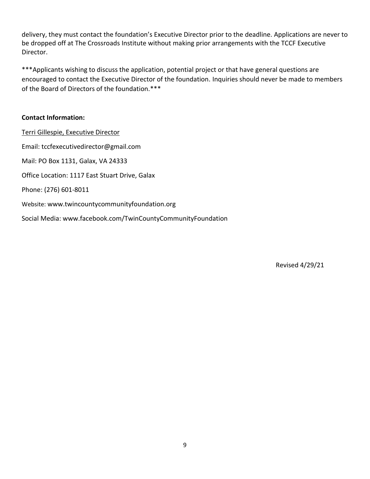delivery, they must contact the foundation's Executive Director prior to the deadline. Applications are never to be dropped off at The Crossroads Institute without making prior arrangements with the TCCF Executive Director.

\*\*\*Applicants wishing to discuss the application, potential project or that have general questions are encouraged to contact the Executive Director of the foundation. Inquiries should never be made to members of the Board of Directors of the foundation.\*\*\*

#### **Contact Information:**

Terri Gillespie, Executive Director Email: [tccfexecutivedirector@gmail.com](mailto:tccfexecutivedirector@gmail.com) Mail: PO Box 1131, Galax, VA 24333 Office Location: 1117 East Stuart Drive, Galax Phone: (276) 601-8011 Website: [www.twincountycommunityfoundation.org](http://www.twincountycommunityfoundation.org/) Social Media: www.facebook.com/TwinCountyCommunityFoundation

Revised 4/29/21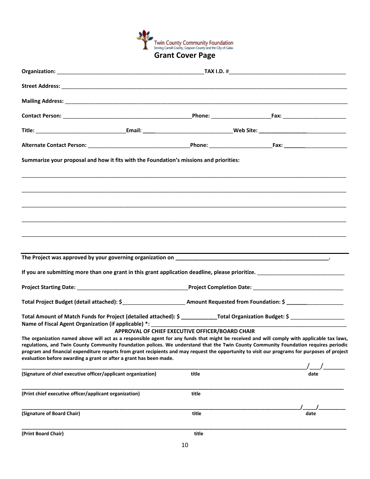

|                                                               | Summarize your proposal and how it fits with the Foundation's missions and priorities:                                                                                                                                                                                                                                                                                                                                                                                                                     |                                                 |  |      |  |  |
|---------------------------------------------------------------|------------------------------------------------------------------------------------------------------------------------------------------------------------------------------------------------------------------------------------------------------------------------------------------------------------------------------------------------------------------------------------------------------------------------------------------------------------------------------------------------------------|-------------------------------------------------|--|------|--|--|
|                                                               |                                                                                                                                                                                                                                                                                                                                                                                                                                                                                                            |                                                 |  |      |  |  |
|                                                               |                                                                                                                                                                                                                                                                                                                                                                                                                                                                                                            |                                                 |  |      |  |  |
|                                                               |                                                                                                                                                                                                                                                                                                                                                                                                                                                                                                            |                                                 |  |      |  |  |
|                                                               |                                                                                                                                                                                                                                                                                                                                                                                                                                                                                                            |                                                 |  |      |  |  |
|                                                               |                                                                                                                                                                                                                                                                                                                                                                                                                                                                                                            |                                                 |  |      |  |  |
|                                                               |                                                                                                                                                                                                                                                                                                                                                                                                                                                                                                            |                                                 |  |      |  |  |
|                                                               |                                                                                                                                                                                                                                                                                                                                                                                                                                                                                                            |                                                 |  |      |  |  |
|                                                               |                                                                                                                                                                                                                                                                                                                                                                                                                                                                                                            |                                                 |  |      |  |  |
|                                                               |                                                                                                                                                                                                                                                                                                                                                                                                                                                                                                            |                                                 |  |      |  |  |
|                                                               |                                                                                                                                                                                                                                                                                                                                                                                                                                                                                                            |                                                 |  |      |  |  |
|                                                               | Total Amount of Match Funds for Project (detailed attached): \$ ______________Total Organization Budget: \$ _____________________________<br>Name of Fiscal Agent Organization (if applicable) *: ___________________________                                                                                                                                                                                                                                                                              |                                                 |  |      |  |  |
|                                                               |                                                                                                                                                                                                                                                                                                                                                                                                                                                                                                            | APPROVAL OF CHIEF EXECUTIVE OFFICER/BOARD CHAIR |  |      |  |  |
|                                                               | The organization named above will act as a responsible agent for any funds that might be received and will comply with applicable tax laws,<br>regulations, and Twin County Community Foundation polices. We understand that the Twin County Community Foundation requires periodic<br>program and financial expenditure reports from grant recipients and may request the opportunity to visit our programs for purposes of project<br>evaluation before awarding a grant or after a grant has been made. |                                                 |  |      |  |  |
|                                                               |                                                                                                                                                                                                                                                                                                                                                                                                                                                                                                            |                                                 |  |      |  |  |
| (Signature of chief executive officer/applicant organization) |                                                                                                                                                                                                                                                                                                                                                                                                                                                                                                            | title                                           |  | date |  |  |
| (Print chief executive officer/applicant organization)        |                                                                                                                                                                                                                                                                                                                                                                                                                                                                                                            | title                                           |  |      |  |  |
| (Signature of Board Chair)                                    |                                                                                                                                                                                                                                                                                                                                                                                                                                                                                                            | title                                           |  | date |  |  |
| (Print Board Chair)                                           |                                                                                                                                                                                                                                                                                                                                                                                                                                                                                                            | title                                           |  |      |  |  |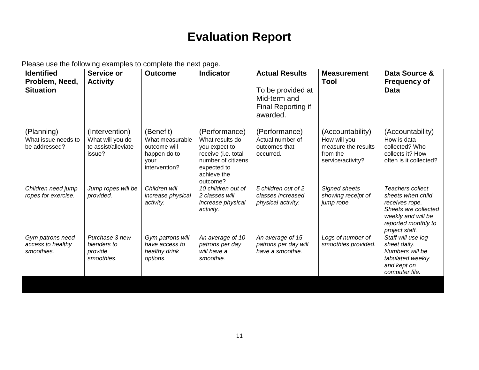# **Evaluation Report**

Please use the following examples to complete the next page.

| <b>Identified</b><br>Problem, Need,<br><b>Situation</b> | Service or<br><b>Activity</b>                          | <b>Outcome</b>                                                           | <b>Indicator</b>                                                                                                        | <b>Actual Results</b><br>To be provided at<br>Mid-term and<br>Final Reporting if<br>awarded. | <b>Measurement</b><br><b>Tool</b>                                    | Data Source &<br><b>Frequency of</b><br><b>Data</b>                                                                                            |
|---------------------------------------------------------|--------------------------------------------------------|--------------------------------------------------------------------------|-------------------------------------------------------------------------------------------------------------------------|----------------------------------------------------------------------------------------------|----------------------------------------------------------------------|------------------------------------------------------------------------------------------------------------------------------------------------|
| (Planning)                                              | (Intervention)                                         | (Benefit)                                                                | (Performance)                                                                                                           | (Performance)                                                                                | (Accountability)                                                     | (Accountability)                                                                                                                               |
| What issue needs to<br>be addressed?                    | What will you do<br>to assist/alleviate<br>issue?      | What measurable<br>outcome will<br>happen do to<br>vour<br>intervention? | What results do<br>you expect to<br>receive (i.e. total<br>number of citizens<br>expected to<br>achieve the<br>outcome? | Actual number of<br>outcomes that<br>occurred.                                               | How will you<br>measure the results<br>from the<br>service/activity? | How is data<br>collected? Who<br>collects it? How<br>often is it collected?                                                                    |
| Children need jump<br>ropes for exercise.               | Jump ropes will be<br>provided.                        | Children will<br>increase physical<br>activity.                          | 10 children out of<br>2 classes will<br>increase physical<br>activity.                                                  | 5 children out of 2<br>classes increased<br>physical activity.                               | Signed sheets<br>showing receipt of<br>jump rope.                    | Teachers collect<br>sheets when child<br>receives rope.<br>Sheets are collected<br>weekly and will be<br>reported monthly to<br>project staff. |
| Gym patrons need<br>access to healthy<br>smoothies.     | Purchase 3 new<br>blenders to<br>provide<br>smoothies. | Gym patrons will<br>have access to<br>healthy drink<br>options.          | An average of 10<br>patrons per day<br>will have a<br>smoothie.                                                         | An average of 15<br>patrons per day will<br>have a smoothie.                                 | Logs of number of<br>smoothies provided.                             | Staff will use log<br>sheet daily.<br>Numbers will be<br>tabulated weekly<br>and kept on<br>computer file.                                     |